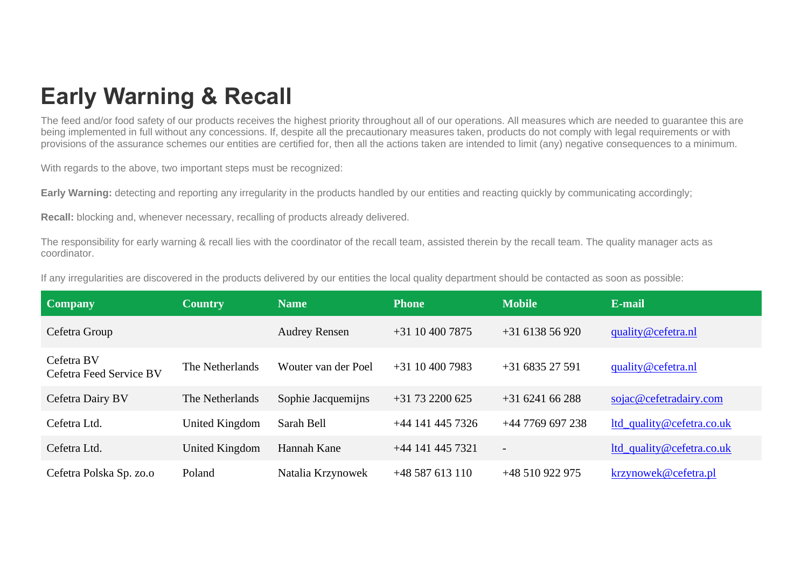## **Early Warning & Recall**

The feed and/or food safety of our products receives the highest priority throughout all of our operations. All measures which are needed to guarantee this are being implemented in full without any concessions. If, despite all the precautionary measures taken, products do not comply with legal requirements or with provisions of the assurance schemes our entities are certified for, then all the actions taken are intended to limit (any) negative consequences to a minimum.

With regards to the above, two important steps must be recognized:

**Early Warning:** detecting and reporting any irregularity in the products handled by our entities and reacting quickly by communicating accordingly;

**Recall:** blocking and, whenever necessary, recalling of products already delivered.

The responsibility for early warning & recall lies with the coordinator of the recall team, assisted therein by the recall team. The quality manager acts as coordinator.

|  |  |  |  |  |  |  |  | If any irregularities are discovered in the products delivered by our entities the local quality department should be contacted as soon as possible: |  |
|--|--|--|--|--|--|--|--|------------------------------------------------------------------------------------------------------------------------------------------------------|--|
|--|--|--|--|--|--|--|--|------------------------------------------------------------------------------------------------------------------------------------------------------|--|

| <b>Company</b>                        | <b>Country</b>  | <b>Name</b>          | <b>Phone</b>       | <b>Mobile</b>            | E-mail                    |
|---------------------------------------|-----------------|----------------------|--------------------|--------------------------|---------------------------|
| Cefetra Group                         |                 | <b>Audrey Rensen</b> | $+31$ 10 400 7875  | $+31613856920$           | quality@cefetra.nl        |
| Cefetra BV<br>Cefetra Feed Service BV | The Netherlands | Wouter van der Poel  | $+31$ 10 400 7983  | $+31683527591$           | quality@cefetra.nl        |
| Cefetra Dairy BV                      | The Netherlands | Sophie Jacquemijns   | $+31$ 73 2200 625  | $+31624166288$           | sojac@cefetradairy.com    |
| Cefetra Ltd.                          | United Kingdom  | Sarah Bell           | $+44$ 141 445 7326 | $+44$ 7769 697 238       | ltd_quality@cefetra.co.uk |
| Cefetra Ltd.                          | United Kingdom  | Hannah Kane          | $+44$ 141 445 7321 | $\overline{\phantom{a}}$ | ltd_quality@cefetra.co.uk |
| Cefetra Polska Sp. zo.o               | Poland          | Natalia Krzynowek    | $+48587613110$     | +48 510 922 975          | krzynowek@cefetra.pl      |